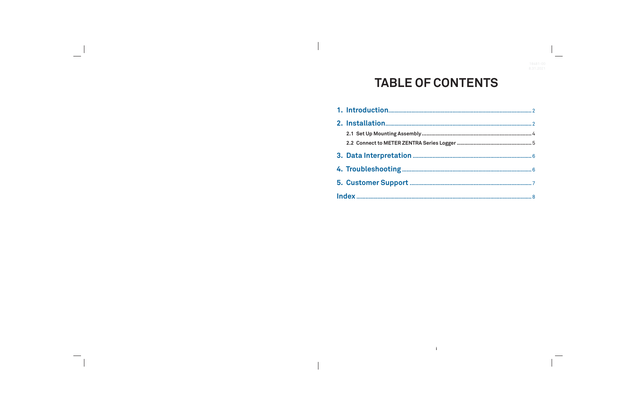# **TABLE OF CONTENTS**

 $\mathbf{r}$ 

| 2.1 Set Up Mounting Assembly              |
|-------------------------------------------|
| 2.2 Connect to METER ZENTRA Series Logger |
|                                           |
|                                           |
|                                           |
|                                           |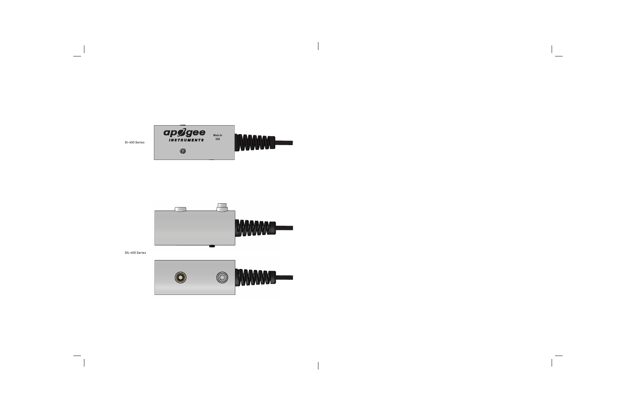

 $\overline{\phantom{a}}$ 

 $\overline{\phantom{a}}$ 



SIL-400 Series

 $\overline{\phantom{a}}$ 

 $\hspace{0.1cm}$ 



 $\overline{\phantom{0}}$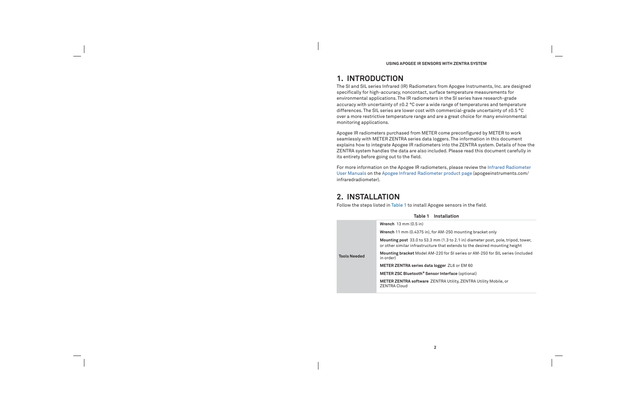**USING APOGEE IR SENSORS WITH ZENTRA SYSTEM**

# **1. INTRODUCTION**

The SI and SIL series Infrared (IR) Radiometers from Apogee Instruments, Inc. are designed specifically for high-accuracy, noncontact, surface temperature measurements for environmental applications. The IR radiometers in the SI series have research-grade accuracy with uncertainty of ±0.2 °C over a wide range of temperatures and temperature differences. The SIL series are lower cost with commercial-grade uncertainty of ±0.5 °C over a more restrictive temperature range and are a great choice for many environmental monitoring applications.

Apogee IR radiometers purchased from METER come preconfigured by METER to work seamlessly with METER ZENTRA series data loggers. The information in this document explains how to integrate Apogee IR radiometers into the ZENTRA system. Details of how the ZENTRA system handles the data are also included. Please read this document carefully in its entirety before going out to the field.

For more information on the Apogee IR radiometers, please review the Infrared Radiometer User Manuals on the Apogee Infrared Radiometer product page (apogeeinstruments.com/ infraredradiometer).

# **2. INSTALLATION**

**Tools Ne** 

Follow the steps listed in Table 1 to install Apogee sensors in the field.

|      | Table 1 Installation                                                                                               |
|------|--------------------------------------------------------------------------------------------------------------------|
|      | Wrench $13 \text{ mm} (0.5 \text{ in})$                                                                            |
|      | Wrench 11 mm (0.4375 in), for AM-250 mounting bo                                                                   |
|      | <b>Mounting post</b> 33.0 to 53.3 mm (1.3 to 2.1 in) diam<br>or other similar infrastructure that extends to the o |
| eded | Mounting bracket Model AM-220 for SI series or AI<br>in order)                                                     |
|      | METER ZENTRA series data logger ZL6 or EM 60                                                                       |
|      | METER ZSC Bluetooth <sup>®</sup> Sensor Interface (optional)                                                       |
|      | <b>METER ZENTRA software ZENTRA Utility, ZENTRA</b><br><b>ZENTRA Cloud</b>                                         |

ing bracket only

diameter post, pole, tripod, tower, of the desired mounting height

**Mounting bracket** Model AM-220 for SI series or AM-250 for SIL series (included

**MTRA Utility Mobile, or**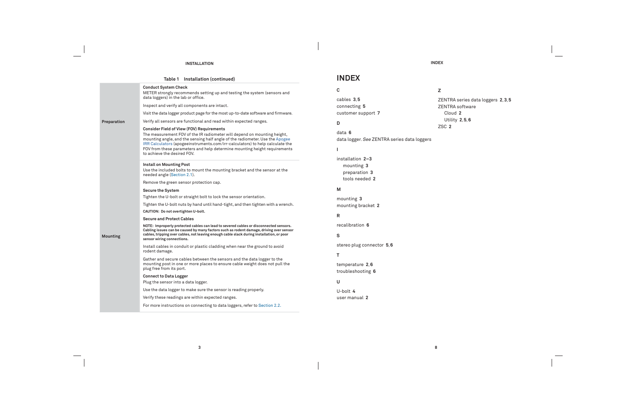**3**

### **INSTALLATION**

 $\overline{\phantom{a}}$ 

 $\frac{1}{2} \left( \frac{1}{2} \right) \left( \frac{1}{2} \right) \left( \frac{1}{2} \right) \left( \frac{1}{2} \right) \left( \frac{1}{2} \right) \left( \frac{1}{2} \right) \left( \frac{1}{2} \right) \left( \frac{1}{2} \right) \left( \frac{1}{2} \right) \left( \frac{1}{2} \right) \left( \frac{1}{2} \right) \left( \frac{1}{2} \right) \left( \frac{1}{2} \right) \left( \frac{1}{2} \right) \left( \frac{1}{2} \right) \left( \frac{1}{2} \right) \left( \frac$ 

|                 | Table 1 Installation (continued)                                                                                                                                                                                                                                                                                                                                                                                                                                                                                                                                                                                                                                                                                                                                                                                                                                                                                                                                                                                                                                                                   | <b>INDEX</b>                                                                                                                                                                                                      |
|-----------------|----------------------------------------------------------------------------------------------------------------------------------------------------------------------------------------------------------------------------------------------------------------------------------------------------------------------------------------------------------------------------------------------------------------------------------------------------------------------------------------------------------------------------------------------------------------------------------------------------------------------------------------------------------------------------------------------------------------------------------------------------------------------------------------------------------------------------------------------------------------------------------------------------------------------------------------------------------------------------------------------------------------------------------------------------------------------------------------------------|-------------------------------------------------------------------------------------------------------------------------------------------------------------------------------------------------------------------|
| Preparation     | <b>Conduct System Check</b><br>METER strongly recommends setting up and testing the system (sensors and<br>data loggers) in the lab or office.<br>Inspect and verify all components are intact.<br>Visit the data logger product page for the most up-to-date software and firmware.<br>Verify all sensors are functional and read within expected ranges.<br><b>Consider Field of View (FOV) Requirements</b><br>The measurement FOV of the IR radiometer will depend on mounting height,<br>mounting angle, and the sensing half angle of the radiometer. Use the Apogee<br>IRR Calculators (apogeeinstruments.com/irr-calculators) to help calculate the<br>FOV from these parameters and help determine mounting height requirements<br>to achieve the desired FOV.                                                                                                                                                                                                                                                                                                                            | C<br>cables 3,5<br>connecting 5<br>customer support 7<br>D<br>data 6<br>data logger. See ZENTRA series data loggers                                                                                               |
| <b>Mounting</b> | <b>Install on Mounting Post</b><br>Use the included bolts to mount the mounting bracket and the sensor at the<br>needed angle (Section 2.1).<br>Remove the green sensor protection cap.<br><b>Secure the System</b><br>Tighten the U-bolt or straight bolt to lock the sensor orientation.<br>Tighten the U-bolt nuts by hand until hand-tight, and then tighten with a wrench.<br>CAUTION: Do not overtighten U-bolt.<br><b>Secure and Protect Cables</b><br>NOTE: Improperly protected cables can lead to severed cables or disconnected sensors.<br>Cabling issues can be caused by many factors such as rodent damage, driving over sensor<br>cables, tripping over cables, not leaving enough cable slack during installation, or poor<br>sensor wiring connections.<br>Install cables in conduit or plastic cladding when near the ground to avoid<br>rodent damage.<br>Gather and secure cables between the sensors and the data logger to the<br>mounting post in one or more places to ensure cable weight does not pull the<br>plug free from its port.<br><b>Connect to Data Logger</b> | installation 2-3<br>mounting 3<br>preparation 3<br>tools needed 2<br>M<br>mounting 3<br>mounting bracket 2<br>R<br>recalibration 6<br>s<br>stereo plug connector 5,6<br>т<br>temperature 2,6<br>troubleshooting 6 |
|                 | Plug the sensor into a data logger.<br>Use the data logger to make sure the sensor is reading properly.<br>Verify these readings are within expected ranges.<br>For more instructions on connecting to data loggers, refer to Section 2.2.                                                                                                                                                                                                                                                                                                                                                                                                                                                                                                                                                                                                                                                                                                                                                                                                                                                         | U<br>U-bolt $4$<br>user manual 2                                                                                                                                                                                  |
|                 |                                                                                                                                                                                                                                                                                                                                                                                                                                                                                                                                                                                                                                                                                                                                                                                                                                                                                                                                                                                                                                                                                                    |                                                                                                                                                                                                                   |

 $\overline{\phantom{a}}$ 

 $\overline{\phantom{a}}$ 

**INDEX**

**8**

**Z**

ZENTRA series data loggers **2**, **3**, **5** ZENTRA software

 $\hspace{0.1cm}$ 

Cloud **2**

Utility **2**, **5**, **6**

ZSC **2**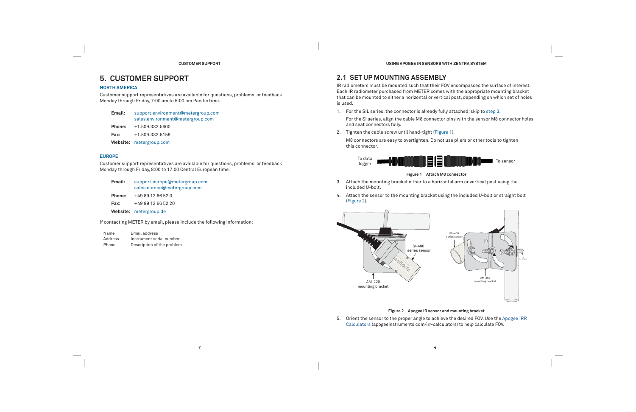### **CUSTOMER SUPPORT**

# **5. CUSTOMER SUPPORT**

### **NORTH AMERICA**

Customer support representatives are available for questions, problems, or feedback Monday through Friday, 7:00 am to 5:00 pm Pacific time.

| Email:        | support.environment@metergroup.com<br>sales.environment@metergroup.com |  |
|---------------|------------------------------------------------------------------------|--|
| <b>Phone:</b> | +1.509.332.5600                                                        |  |

**Fax:**+1.509.332.5158

**Website:** metergroup.com

### **EUROPE**

Customer support representatives are available for questions, problems, or feedback Monday through Friday, 8:00 to 17:00 Central European time.

| Email: | support.europe@metergroup.com<br>sales.europe@metergroup.com |
|--------|--------------------------------------------------------------|
| Phone: | +49 89 12 66 52 0                                            |
| Fax:   | +49 89 12 66 52 20                                           |
|        | Website: metergroup.de                                       |
|        |                                                              |

If contacting METER by email, please include the following information:

| Name    | Email address              |
|---------|----------------------------|
| Address | Instrument serial number   |
| Phone   | Description of the problem |

**4**

**USING APOGEE IR SENSORS WITH ZENTRA SYSTEM**

# **2.1 SET UP MOUNTING ASSEMBLY**

IR radiometers must be mounted such that their FOV encompasses the surface of interest. Each IR radiometer purchased from METER comes with the appropriate mounting bracket that can be mounted to either a horizontal or vertical post, depending on which set of holes is used.

- 1. For the SIL series, the connector is already fully attached; skip to step 3. For the SI series, align the cable M8 connector pins with the sensor M8 connector holes and seat connectors fully.
- 2. Tighten the cable screw until hand-tight (Figure 1).
	- M8 connectors are easy to overtighten. Do not use pliers or other tools to tighten this connector.





### **Figure 1 Attach M8 connector**

- 3. Attach the mounting bracket either to a horizontal arm or vertical post using the included U-bolt.
- 4. Attach the sensor to the mounting bracket using the included U-bolt or straight bolt (Figure 2).





### **Figure 2 Apogee IR sensor and mounting bracket**

5. Orient the sensor to the proper angle to achieve the desired FOV. Use the Apogee IRR Calculators (apogeeinstruments.com/irr-calculators) to help calculate FOV.